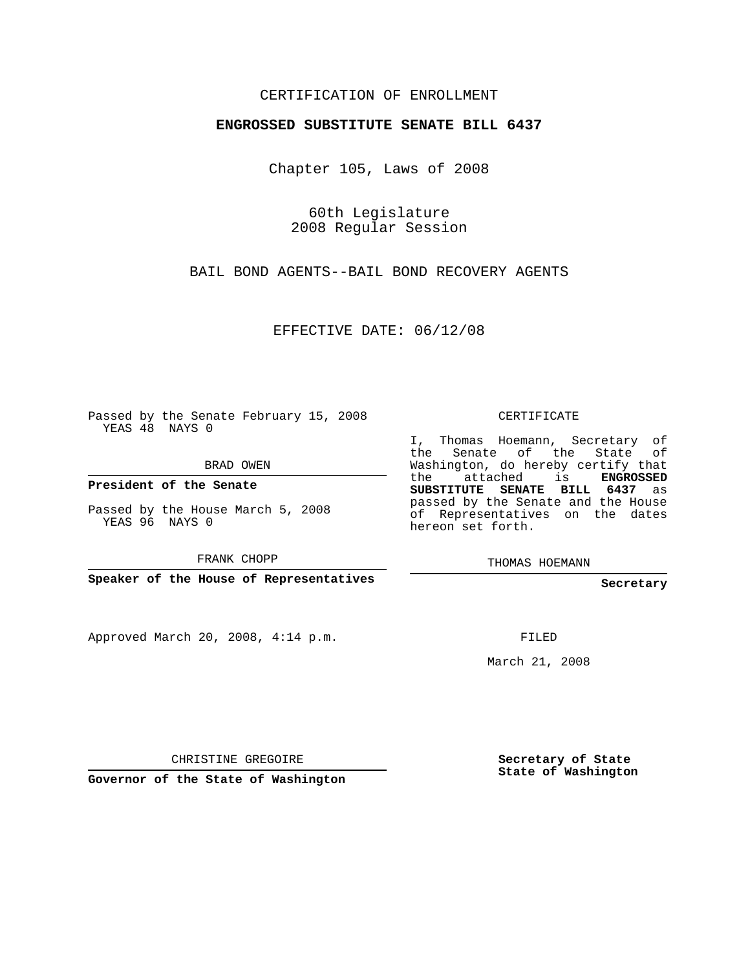## CERTIFICATION OF ENROLLMENT

## **ENGROSSED SUBSTITUTE SENATE BILL 6437**

Chapter 105, Laws of 2008

60th Legislature 2008 Regular Session

BAIL BOND AGENTS--BAIL BOND RECOVERY AGENTS

EFFECTIVE DATE: 06/12/08

Passed by the Senate February 15, 2008 YEAS 48 NAYS 0

BRAD OWEN

**President of the Senate**

Passed by the House March 5, 2008 YEAS 96 NAYS 0

FRANK CHOPP

**Speaker of the House of Representatives**

Approved March 20, 2008, 4:14 p.m.

CERTIFICATE

I, Thomas Hoemann, Secretary of the Senate of the State of Washington, do hereby certify that the attached is **ENGROSSED SUBSTITUTE SENATE BILL 6437** as passed by the Senate and the House of Representatives on the dates hereon set forth.

THOMAS HOEMANN

**Secretary**

FILED

March 21, 2008

CHRISTINE GREGOIRE

**Governor of the State of Washington**

**Secretary of State State of Washington**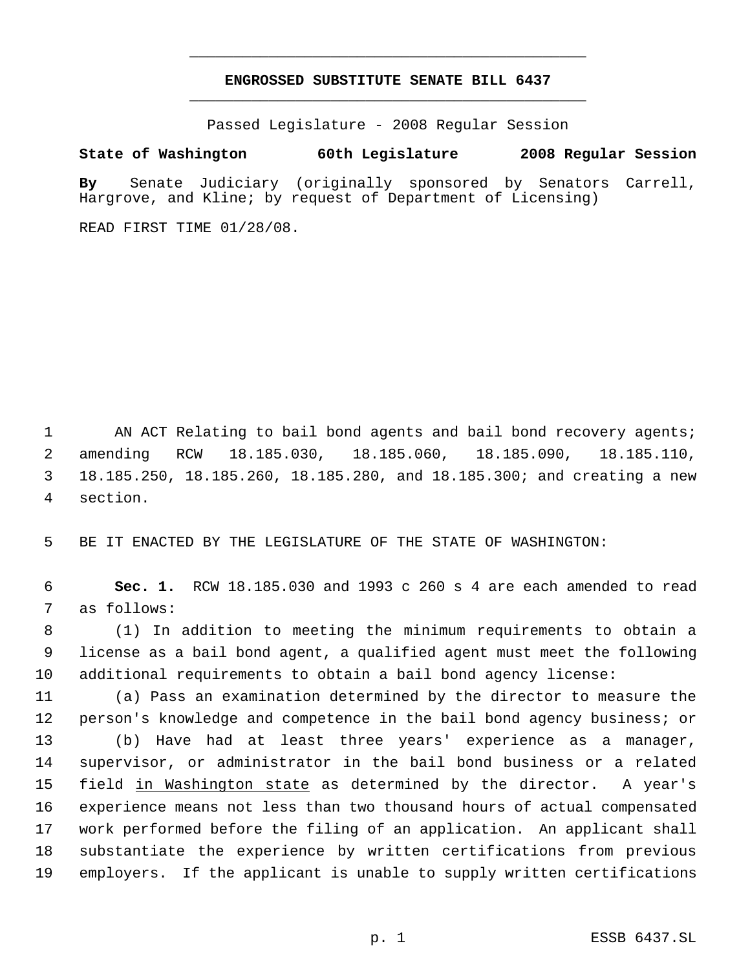## **ENGROSSED SUBSTITUTE SENATE BILL 6437** \_\_\_\_\_\_\_\_\_\_\_\_\_\_\_\_\_\_\_\_\_\_\_\_\_\_\_\_\_\_\_\_\_\_\_\_\_\_\_\_\_\_\_\_\_

\_\_\_\_\_\_\_\_\_\_\_\_\_\_\_\_\_\_\_\_\_\_\_\_\_\_\_\_\_\_\_\_\_\_\_\_\_\_\_\_\_\_\_\_\_

Passed Legislature - 2008 Regular Session

## **State of Washington 60th Legislature 2008 Regular Session**

**By** Senate Judiciary (originally sponsored by Senators Carrell, Hargrove, and Kline; by request of Department of Licensing)

READ FIRST TIME 01/28/08.

1 AN ACT Relating to bail bond agents and bail bond recovery agents; amending RCW 18.185.030, 18.185.060, 18.185.090, 18.185.110, 18.185.250, 18.185.260, 18.185.280, and 18.185.300; and creating a new section.

BE IT ENACTED BY THE LEGISLATURE OF THE STATE OF WASHINGTON:

 **Sec. 1.** RCW 18.185.030 and 1993 c 260 s 4 are each amended to read as follows:

 (1) In addition to meeting the minimum requirements to obtain a license as a bail bond agent, a qualified agent must meet the following additional requirements to obtain a bail bond agency license:

 (a) Pass an examination determined by the director to measure the person's knowledge and competence in the bail bond agency business; or (b) Have had at least three years' experience as a manager, supervisor, or administrator in the bail bond business or a related field in Washington state as determined by the director. A year's experience means not less than two thousand hours of actual compensated work performed before the filing of an application. An applicant shall substantiate the experience by written certifications from previous employers. If the applicant is unable to supply written certifications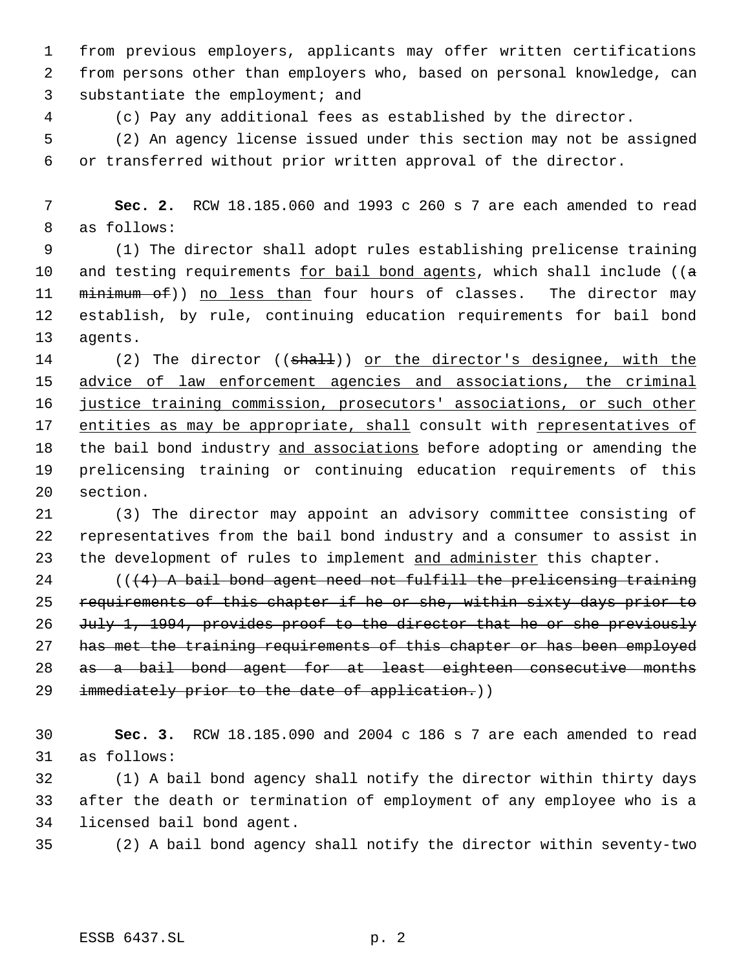from previous employers, applicants may offer written certifications from persons other than employers who, based on personal knowledge, can substantiate the employment; and

(c) Pay any additional fees as established by the director.

 (2) An agency license issued under this section may not be assigned or transferred without prior written approval of the director.

 **Sec. 2.** RCW 18.185.060 and 1993 c 260 s 7 are each amended to read as follows:

 (1) The director shall adopt rules establishing prelicense training 10 and testing requirements  $for bail bond agents, which shall include (( $a$$ </u> 11 minimum of)) no less than four hours of classes. The director may establish, by rule, continuing education requirements for bail bond agents.

14 (2) The director ((shall)) or the director's designee, with the 15 advice of law enforcement agencies and associations, the criminal justice training commission, prosecutors' associations, or such other 17 entities as may be appropriate, shall consult with representatives of 18 the bail bond industry and associations before adopting or amending the prelicensing training or continuing education requirements of this section.

 (3) The director may appoint an advisory committee consisting of representatives from the bail bond industry and a consumer to assist in 23 the development of rules to implement and administer this chapter.

 $((4)$  A bail bond agent need not fulfill the prelicensing training requirements of this chapter if he or she, within sixty days prior to 26 July 1, 1994, provides proof to the director that he or she previously has met the training requirements of this chapter or has been employed as a bail bond agent for at least eighteen consecutive months 29 immediately prior to the date of application.))

 **Sec. 3.** RCW 18.185.090 and 2004 c 186 s 7 are each amended to read as follows:

 (1) A bail bond agency shall notify the director within thirty days after the death or termination of employment of any employee who is a licensed bail bond agent.

(2) A bail bond agency shall notify the director within seventy-two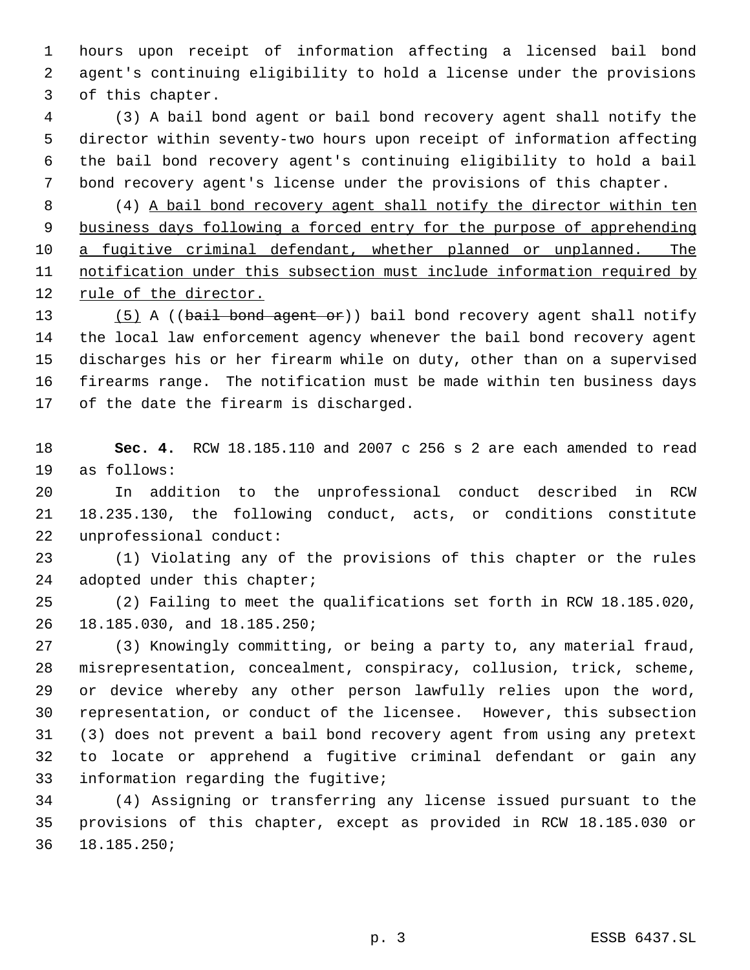hours upon receipt of information affecting a licensed bail bond agent's continuing eligibility to hold a license under the provisions of this chapter.

 (3) A bail bond agent or bail bond recovery agent shall notify the director within seventy-two hours upon receipt of information affecting the bail bond recovery agent's continuing eligibility to hold a bail bond recovery agent's license under the provisions of this chapter.

 (4) A bail bond recovery agent shall notify the director within ten business days following a forced entry for the purpose of apprehending a fugitive criminal defendant, whether planned or unplanned. The notification under this subsection must include information required by rule of the director.

13 (5) A ((bail bond agent or)) bail bond recovery agent shall notify the local law enforcement agency whenever the bail bond recovery agent discharges his or her firearm while on duty, other than on a supervised firearms range. The notification must be made within ten business days of the date the firearm is discharged.

 **Sec. 4.** RCW 18.185.110 and 2007 c 256 s 2 are each amended to read as follows:

 In addition to the unprofessional conduct described in RCW 18.235.130, the following conduct, acts, or conditions constitute unprofessional conduct:

 (1) Violating any of the provisions of this chapter or the rules 24 adopted under this chapter;

 (2) Failing to meet the qualifications set forth in RCW 18.185.020, 18.185.030, and 18.185.250;

 (3) Knowingly committing, or being a party to, any material fraud, misrepresentation, concealment, conspiracy, collusion, trick, scheme, or device whereby any other person lawfully relies upon the word, representation, or conduct of the licensee. However, this subsection (3) does not prevent a bail bond recovery agent from using any pretext to locate or apprehend a fugitive criminal defendant or gain any information regarding the fugitive;

 (4) Assigning or transferring any license issued pursuant to the provisions of this chapter, except as provided in RCW 18.185.030 or 18.185.250;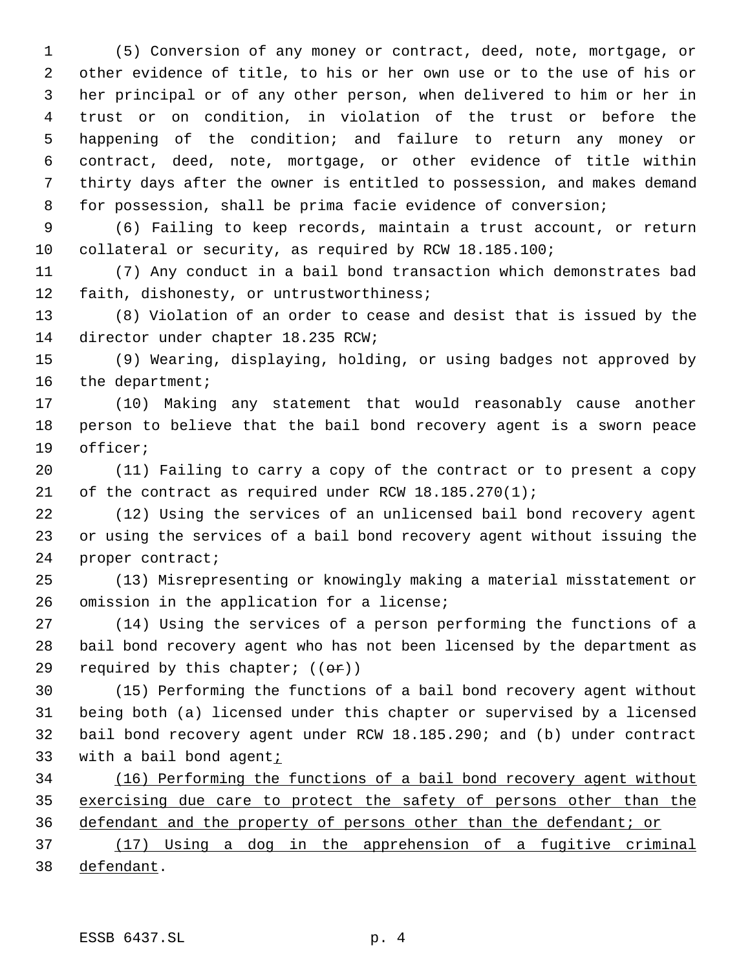(5) Conversion of any money or contract, deed, note, mortgage, or other evidence of title, to his or her own use or to the use of his or her principal or of any other person, when delivered to him or her in trust or on condition, in violation of the trust or before the happening of the condition; and failure to return any money or contract, deed, note, mortgage, or other evidence of title within thirty days after the owner is entitled to possession, and makes demand for possession, shall be prima facie evidence of conversion;

 (6) Failing to keep records, maintain a trust account, or return collateral or security, as required by RCW 18.185.100;

 (7) Any conduct in a bail bond transaction which demonstrates bad faith, dishonesty, or untrustworthiness;

 (8) Violation of an order to cease and desist that is issued by the director under chapter 18.235 RCW;

 (9) Wearing, displaying, holding, or using badges not approved by 16 the department;

 (10) Making any statement that would reasonably cause another person to believe that the bail bond recovery agent is a sworn peace officer;

 (11) Failing to carry a copy of the contract or to present a copy 21 of the contract as required under RCW 18.185.270(1);

 (12) Using the services of an unlicensed bail bond recovery agent or using the services of a bail bond recovery agent without issuing the 24 proper contract;

 (13) Misrepresenting or knowingly making a material misstatement or omission in the application for a license;

 (14) Using the services of a person performing the functions of a bail bond recovery agent who has not been licensed by the department as 29 required by this chapter;  $((\theta \cdot \mathbf{r}))$ 

 (15) Performing the functions of a bail bond recovery agent without being both (a) licensed under this chapter or supervised by a licensed bail bond recovery agent under RCW 18.185.290; and (b) under contract with a bail bond agent;

 (16) Performing the functions of a bail bond recovery agent without 35 exercising due care to protect the safety of persons other than the defendant and the property of persons other than the defendant; or

 (17) Using a dog in the apprehension of a fugitive criminal 38 defendant.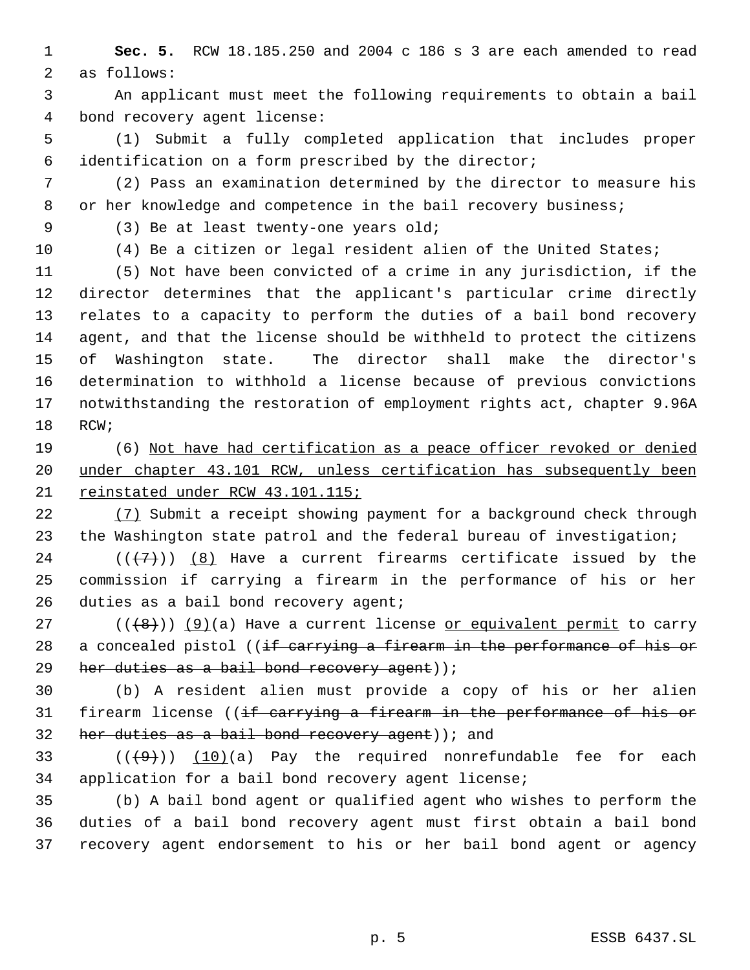**Sec. 5.** RCW 18.185.250 and 2004 c 186 s 3 are each amended to read as follows:

 An applicant must meet the following requirements to obtain a bail bond recovery agent license:

 (1) Submit a fully completed application that includes proper identification on a form prescribed by the director;

 (2) Pass an examination determined by the director to measure his 8 or her knowledge and competence in the bail recovery business;

(3) Be at least twenty-one years old;

(4) Be a citizen or legal resident alien of the United States;

 (5) Not have been convicted of a crime in any jurisdiction, if the director determines that the applicant's particular crime directly relates to a capacity to perform the duties of a bail bond recovery agent, and that the license should be withheld to protect the citizens of Washington state. The director shall make the director's determination to withhold a license because of previous convictions notwithstanding the restoration of employment rights act, chapter 9.96A RCW;

 (6) Not have had certification as a peace officer revoked or denied under chapter 43.101 RCW, unless certification has subsequently been reinstated under RCW 43.101.115;

 (7) Submit a receipt showing payment for a background check through the Washington state patrol and the federal bureau of investigation;

24 ( $(\overline{\{7\}})$ ) (8) Have a current firearms certificate issued by the commission if carrying a firearm in the performance of his or her 26 duties as a bail bond recovery agent;

27 ( $(\langle 48 \rangle)$ ) (9)(a) Have a current license or equivalent permit to carry 28 a concealed pistol ((if carrying a firearm in the performance of his or 29 her duties as a bail bond recovery agent));

 (b) A resident alien must provide a copy of his or her alien 31 firearm license ((if carrying a firearm in the performance of his or 32 her duties as a bail bond recovery agent)  $(i)$  and

33  $((+9))$   $(10)(a)$  Pay the required nonrefundable fee for each application for a bail bond recovery agent license;

 (b) A bail bond agent or qualified agent who wishes to perform the duties of a bail bond recovery agent must first obtain a bail bond recovery agent endorsement to his or her bail bond agent or agency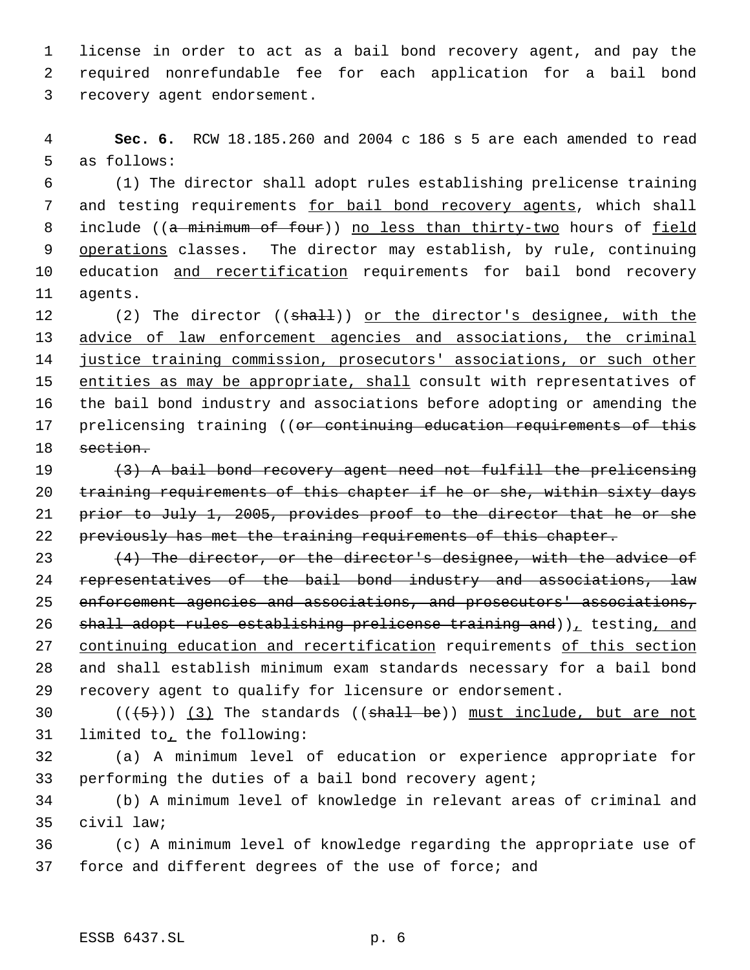license in order to act as a bail bond recovery agent, and pay the required nonrefundable fee for each application for a bail bond recovery agent endorsement.

 **Sec. 6.** RCW 18.185.260 and 2004 c 186 s 5 are each amended to read as follows:

 (1) The director shall adopt rules establishing prelicense training 7 and testing requirements for bail bond recovery agents, which shall 8 include ((a minimum of four)) no less than thirty-two hours of field 9 operations classes. The director may establish, by rule, continuing 10 education and recertification requirements for bail bond recovery agents.

12 (2) The director ((shall)) or the director's designee, with the advice of law enforcement agencies and associations, the criminal justice training commission, prosecutors' associations, or such other 15 entities as may be appropriate, shall consult with representatives of the bail bond industry and associations before adopting or amending the 17 prelicensing training ((or continuing education requirements of this 18 section.

 (3) A bail bond recovery agent need not fulfill the prelicensing 20 training requirements of this chapter if he or she, within sixty days prior to July 1, 2005, provides proof to the director that he or she previously has met the training requirements of this chapter.

 $(4)$  The director, or the director's designee, with the advice of representatives of the bail bond industry and associations, law enforcement agencies and associations, and prosecutors' associations, 26 shall adopt rules establishing prelicense training and)), testing, and 27 continuing education and recertification requirements of this section and shall establish minimum exam standards necessary for a bail bond recovery agent to qualify for licensure or endorsement.

30  $((+5))$   $(3)$  The standards ((shall be)) must include, but are not limited to, the following:

 (a) A minimum level of education or experience appropriate for performing the duties of a bail bond recovery agent;

 (b) A minimum level of knowledge in relevant areas of criminal and civil law;

 (c) A minimum level of knowledge regarding the appropriate use of force and different degrees of the use of force; and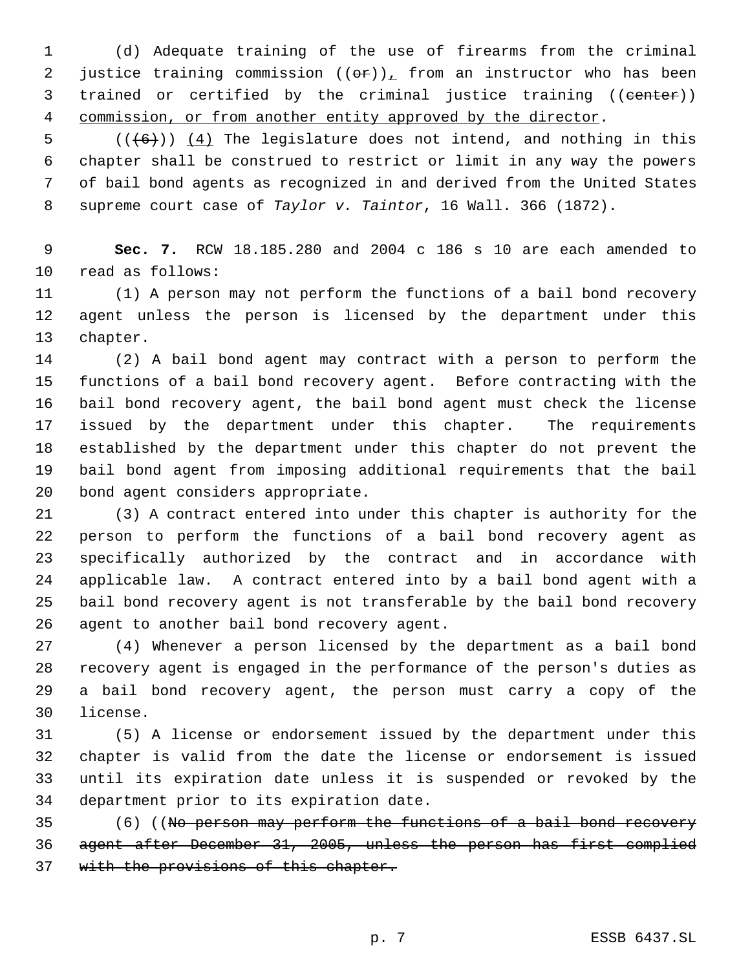(d) Adequate training of the use of firearms from the criminal 2 justice training commission  $((\theta \hat{r}))_L$  from an instructor who has been 3 trained or certified by the criminal justice training ((center)) commission, or from another entity approved by the director.

 $((+6))$   $(4)$  The legislature does not intend, and nothing in this chapter shall be construed to restrict or limit in any way the powers of bail bond agents as recognized in and derived from the United States supreme court case of *Taylor v. Taintor*, 16 Wall. 366 (1872).

 **Sec. 7.** RCW 18.185.280 and 2004 c 186 s 10 are each amended to read as follows:

 (1) A person may not perform the functions of a bail bond recovery agent unless the person is licensed by the department under this chapter.

 (2) A bail bond agent may contract with a person to perform the functions of a bail bond recovery agent. Before contracting with the bail bond recovery agent, the bail bond agent must check the license issued by the department under this chapter. The requirements established by the department under this chapter do not prevent the bail bond agent from imposing additional requirements that the bail bond agent considers appropriate.

 (3) A contract entered into under this chapter is authority for the person to perform the functions of a bail bond recovery agent as specifically authorized by the contract and in accordance with applicable law. A contract entered into by a bail bond agent with a bail bond recovery agent is not transferable by the bail bond recovery agent to another bail bond recovery agent.

 (4) Whenever a person licensed by the department as a bail bond recovery agent is engaged in the performance of the person's duties as a bail bond recovery agent, the person must carry a copy of the license.

 (5) A license or endorsement issued by the department under this chapter is valid from the date the license or endorsement is issued until its expiration date unless it is suspended or revoked by the department prior to its expiration date.

 (6) ((No person may perform the functions of a bail bond recovery agent after December 31, 2005, unless the person has first complied 37 with the provisions of this chapter.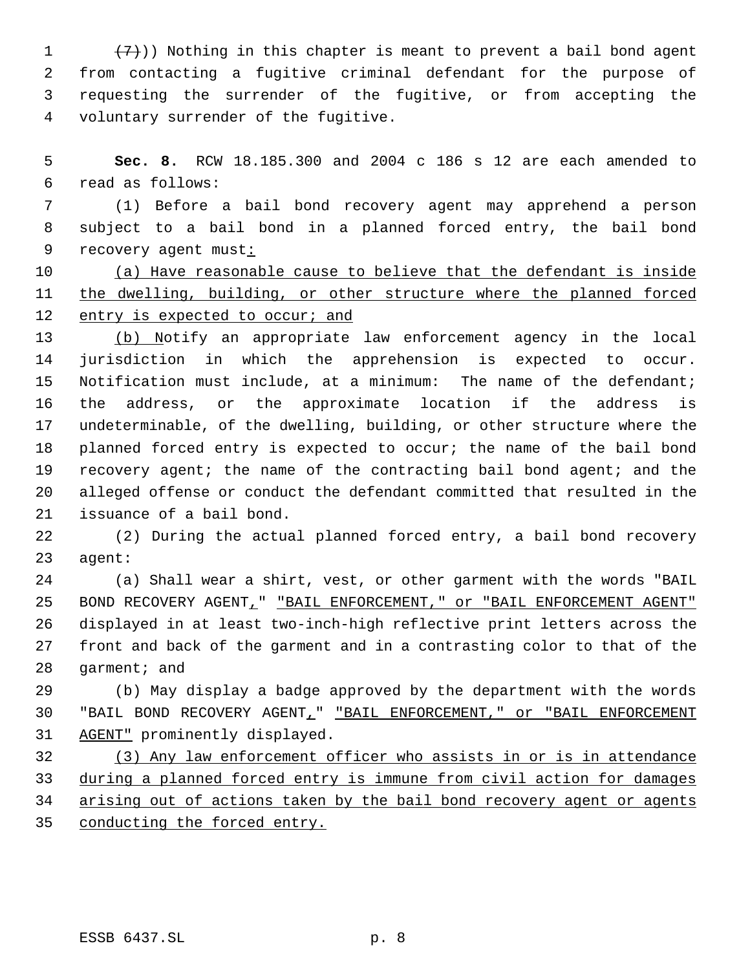$(7)$ )) Nothing in this chapter is meant to prevent a bail bond agent from contacting a fugitive criminal defendant for the purpose of requesting the surrender of the fugitive, or from accepting the voluntary surrender of the fugitive.

 **Sec. 8.** RCW 18.185.300 and 2004 c 186 s 12 are each amended to read as follows:

 (1) Before a bail bond recovery agent may apprehend a person subject to a bail bond in a planned forced entry, the bail bond recovery agent must:

 (a) Have reasonable cause to believe that the defendant is inside the dwelling, building, or other structure where the planned forced 12 entry is expected to occur; and

 (b) Notify an appropriate law enforcement agency in the local jurisdiction in which the apprehension is expected to occur. Notification must include, at a minimum: The name of the defendant; the address, or the approximate location if the address is undeterminable, of the dwelling, building, or other structure where the planned forced entry is expected to occur; the name of the bail bond 19 recovery agent; the name of the contracting bail bond agent; and the alleged offense or conduct the defendant committed that resulted in the issuance of a bail bond.

 (2) During the actual planned forced entry, a bail bond recovery agent:

 (a) Shall wear a shirt, vest, or other garment with the words "BAIL 25 BOND RECOVERY AGENT\_" "BAIL ENFORCEMENT," or "BAIL ENFORCEMENT AGENT" displayed in at least two-inch-high reflective print letters across the front and back of the garment and in a contrasting color to that of the garment; and

 (b) May display a badge approved by the department with the words "BAIL BOND RECOVERY AGENT," "BAIL ENFORCEMENT," or "BAIL ENFORCEMENT AGENT" prominently displayed.

 (3) Any law enforcement officer who assists in or is in attendance during a planned forced entry is immune from civil action for damages 34 arising out of actions taken by the bail bond recovery agent or agents conducting the forced entry.